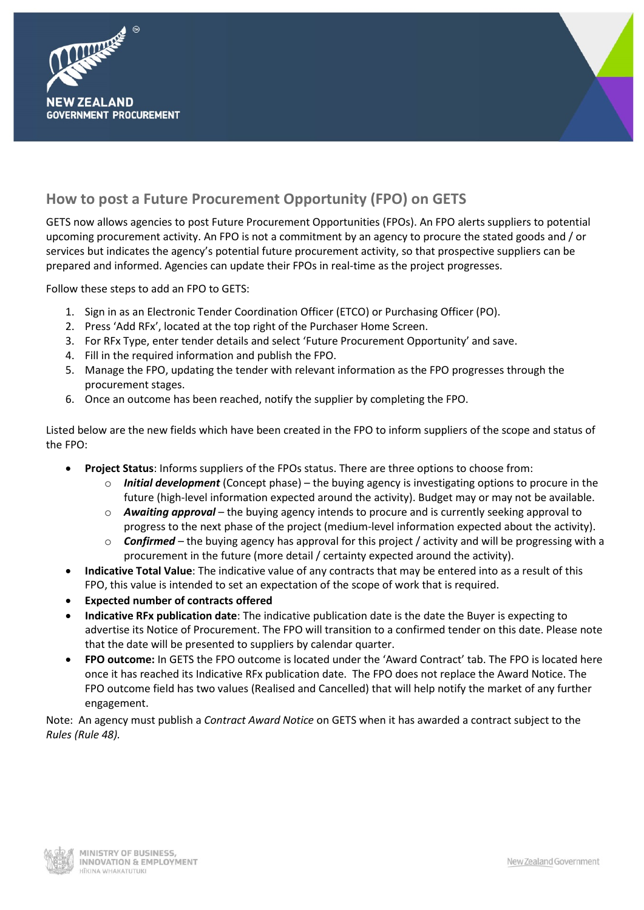



# **How to post a Future Procurement Opportunity (FPO) on GETS**

GETS now allows agencies to post Future Procurement Opportunities (FPOs). An FPO alerts suppliers to potential upcoming procurement activity. An FPO is not a commitment by an agency to procure the stated goods and / or services but indicates the agency's potential future procurement activity, so that prospective suppliers can be prepared and informed. Agencies can update their FPOs in real-time as the project progresses.

Follow these steps to add an FPO to GETS:

- 1. Sign in as an Electronic Tender Coordination Officer (ETCO) or Purchasing Officer (PO).
- 2. Press 'Add RFx', located at the top right of the Purchaser Home Screen.
- 3. For RFx Type, enter tender details and select 'Future Procurement Opportunity' and save.
- 4. Fill in the required information and publish the FPO.
- 5. Manage the FPO, updating the tender with relevant information as the FPO progresses through the procurement stages.
- 6. Once an outcome has been reached, notify the supplier by completing the FPO.

Listed below are the new fields which have been created in the FPO to inform suppliers of the scope and status of the FPO:

- **Project Status**: Informs suppliers of the FPOs status. There are three options to choose from:
	- o *Initial development* (Concept phase) the buying agency is investigating options to procure in the future (high-level information expected around the activity). Budget may or may not be available.
	- o *Awaiting approval* the buying agency intends to procure and is currently seeking approval to progress to the next phase of the project (medium-level information expected about the activity).
	- o *Confirmed* the buying agency has approval for this project / activity and will be progressing with a procurement in the future (more detail / certainty expected around the activity).
- **Indicative Total Value**: The indicative value of any contracts that may be entered into as a result of this FPO, this value is intended to set an expectation of the scope of work that is required.
- **Expected number of contracts offered**
- **Indicative RFx publication date**: The indicative publication date is the date the Buyer is expecting to advertise its Notice of Procurement. The FPO will transition to a confirmed tender on this date. Please note that the date will be presented to suppliers by calendar quarter.
- **FPO outcome:** In GETS the FPO outcome is located under the 'Award Contract' tab. The FPO is located here once it has reached its Indicative RFx publication date. The FPO does not replace the Award Notice. The FPO outcome field has two values (Realised and Cancelled) that will help notify the market of any further engagement.

Note: An agency must publish a *Contract Award Notice* on GETS when it has awarded a contract subject to the *Rules (Rule 48).*